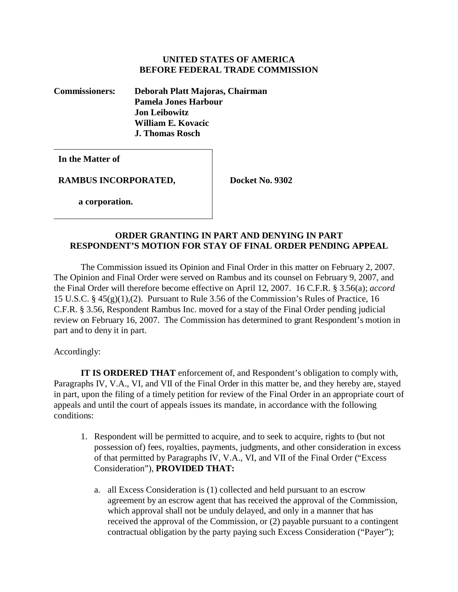## **UNITED STATES OF AMERICA BEFORE FEDERAL TRADE COMMISSION**

**Commissioners: Deborah Platt Majoras, Chairman Pamela Jones Harbour Jon Leibowitz William E. Kovacic J. Thomas Rosch** 

**In the Matter of**

**RAMBUS INCORPORATED, Docket No. 9302** 

 **a corporation.**

# **ORDER GRANTING IN PART AND DENYING IN PART RESPONDENT'S MOTION FOR STAY OF FINAL ORDER PENDING APPEAL**

The Commission issued its Opinion and Final Order in this matter on February 2, 2007. The Opinion and Final Order were served on Rambus and its counsel on February 9, 2007, and the Final Order will therefore become effective on April 12, 2007. 16 C.F.R. § 3.56(a); *accord*  15 U.S.C. § 45(g)(1),(2). Pursuant to Rule 3.56 of the Commission's Rules of Practice, 16 C.F.R. § 3.56, Respondent Rambus Inc. moved for a stay of the Final Order pending judicial review on February 16, 2007. The Commission has determined to grant Respondent's motion in part and to deny it in part.

Accordingly:

**IT IS ORDERED THAT** enforcement of, and Respondent's obligation to comply with, Paragraphs IV, V.A., VI, and VII of the Final Order in this matter be, and they hereby are, stayed in part, upon the filing of a timely petition for review of the Final Order in an appropriate court of appeals and until the court of appeals issues its mandate, in accordance with the following conditions:

- 1. Respondent will be permitted to acquire, and to seek to acquire, rights to (but not possession of) fees, royalties, payments, judgments, and other consideration in excess of that permitted by Paragraphs IV, V.A., VI, and VII of the Final Order ("Excess Consideration"), **PROVIDED THAT:** 
	- a. all Excess Consideration is (1) collected and held pursuant to an escrow agreement by an escrow agent that has received the approval of the Commission, which approval shall not be unduly delayed, and only in a manner that has received the approval of the Commission, or (2) payable pursuant to a contingent contractual obligation by the party paying such Excess Consideration ("Payer");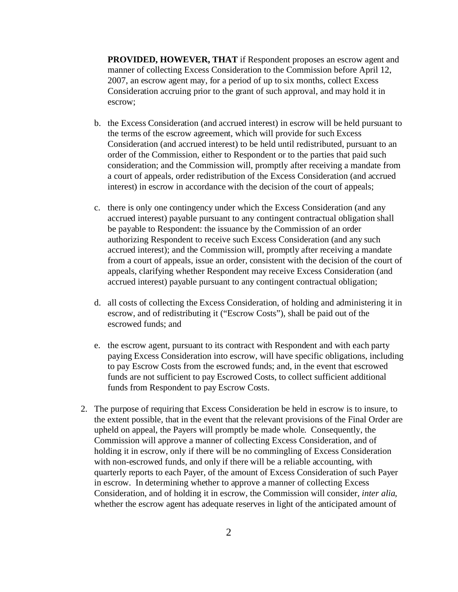**PROVIDED, HOWEVER, THAT** if Respondent proposes an escrow agent and manner of collecting Excess Consideration to the Commission before April 12, 2007, an escrow agent may, for a period of up to six months, collect Excess Consideration accruing prior to the grant of such approval, and may hold it in escrow;

- b. the Excess Consideration (and accrued interest) in escrow will be held pursuant to the terms of the escrow agreement, which will provide for such Excess Consideration (and accrued interest) to be held until redistributed, pursuant to an order of the Commission, either to Respondent or to the parties that paid such consideration; and the Commission will, promptly after receiving a mandate from a court of appeals, order redistribution of the Excess Consideration (and accrued interest) in escrow in accordance with the decision of the court of appeals;
- c. there is only one contingency under which the Excess Consideration (and any accrued interest) payable pursuant to any contingent contractual obligation shall be payable to Respondent: the issuance by the Commission of an order authorizing Respondent to receive such Excess Consideration (and any such accrued interest); and the Commission will, promptly after receiving a mandate from a court of appeals, issue an order, consistent with the decision of the court of appeals, clarifying whether Respondent may receive Excess Consideration (and accrued interest) payable pursuant to any contingent contractual obligation;
- d. all costs of collecting the Excess Consideration, of holding and administering it in escrow, and of redistributing it ("Escrow Costs"), shall be paid out of the escrowed funds; and
- e. the escrow agent, pursuant to its contract with Respondent and with each party paying Excess Consideration into escrow, will have specific obligations, including to pay Escrow Costs from the escrowed funds; and, in the event that escrowed funds are not sufficient to pay Escrowed Costs, to collect sufficient additional funds from Respondent to pay Escrow Costs.
- 2. The purpose of requiring that Excess Consideration be held in escrow is to insure, to the extent possible, that in the event that the relevant provisions of the Final Order are upheld on appeal, the Payers will promptly be made whole. Consequently, the Commission will approve a manner of collecting Excess Consideration, and of holding it in escrow, only if there will be no commingling of Excess Consideration with non-escrowed funds, and only if there will be a reliable accounting, with quarterly reports to each Payer, of the amount of Excess Consideration of such Payer in escrow. In determining whether to approve a manner of collecting Excess Consideration, and of holding it in escrow, the Commission will consider, *inter alia*, whether the escrow agent has adequate reserves in light of the anticipated amount of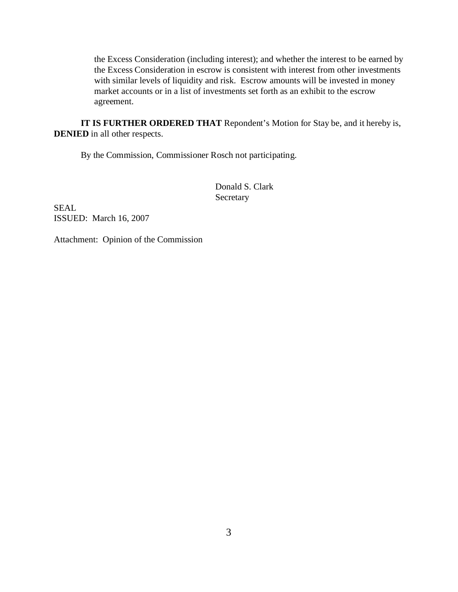the Excess Consideration (including interest); and whether the interest to be earned by the Excess Consideration in escrow is consistent with interest from other investments with similar levels of liquidity and risk. Escrow amounts will be invested in money market accounts or in a list of investments set forth as an exhibit to the escrow agreement.

**IT IS FURTHER ORDERED THAT** Repondent's Motion for Stay be, and it hereby is, **DENIED** in all other respects.

By the Commission, Commissioner Rosch not participating.

Donald S. Clark **Secretary** 

SEAL ISSUED: March 16, 2007

Attachment: Opinion of the Commission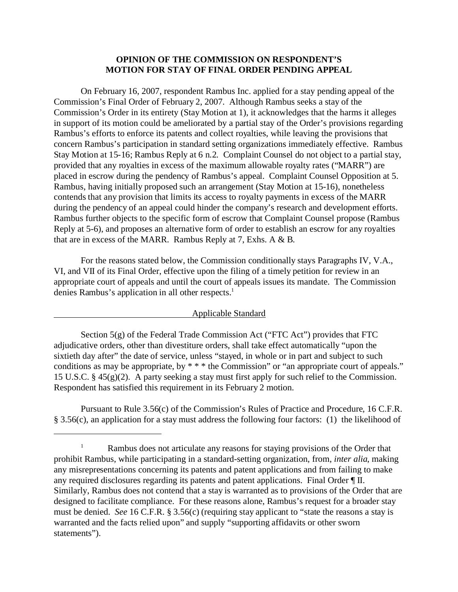## **OPINION OF THE COMMISSION ON RESPONDENT'S MOTION FOR STAY OF FINAL ORDER PENDING APPEAL**

On February 16, 2007, respondent Rambus Inc. applied for a stay pending appeal of the Commission's Final Order of February 2, 2007. Although Rambus seeks a stay of the Commission's Order in its entirety (Stay Motion at 1), it acknowledges that the harms it alleges in support of its motion could be ameliorated by a partial stay of the Order's provisions regarding Rambus's efforts to enforce its patents and collect royalties, while leaving the provisions that concern Rambus's participation in standard setting organizations immediately effective. Rambus Stay Motion at 15-16; Rambus Reply at 6 n.2. Complaint Counsel do not object to a partial stay, provided that any royalties in excess of the maximum allowable royalty rates ("MARR") are placed in escrow during the pendency of Rambus's appeal. Complaint Counsel Opposition at 5. Rambus, having initially proposed such an arrangement (Stay Motion at 15-16), nonetheless contends that any provision that limits its access to royalty payments in excess of the MARR during the pendency of an appeal could hinder the company's research and development efforts. Rambus further objects to the specific form of escrow that Complaint Counsel propose (Rambus Reply at 5-6), and proposes an alternative form of order to establish an escrow for any royalties that are in excess of the MARR. Rambus Reply at 7, Exhs. A & B.

For the reasons stated below, the Commission conditionally stays Paragraphs IV, V.A., VI, and VII of its Final Order, effective upon the filing of a timely petition for review in an appropriate court of appeals and until the court of appeals issues its mandate. The Commission denies Rambus's application in all other respects.<sup>1</sup>

### Applicable Standard

Section 5(g) of the Federal Trade Commission Act ("FTC Act") provides that FTC adjudicative orders, other than divestiture orders, shall take effect automatically "upon the sixtieth day after" the date of service, unless "stayed, in whole or in part and subject to such conditions as may be appropriate, by \* \* \* the Commission" or "an appropriate court of appeals." 15 U.S.C. § 45(g)(2). A party seeking a stay must first apply for such relief to the Commission. Respondent has satisfied this requirement in its February 2 motion.

Pursuant to Rule 3.56(c) of the Commission's Rules of Practice and Procedure, 16 C.F.R. § 3.56(c), an application for a stay must address the following four factors: (1) the likelihood of

<sup>&</sup>lt;sup>1</sup> Rambus does not articulate any reasons for staying provisions of the Order that prohibit Rambus, while participating in a standard-setting organization, from, *inter alia*, making any misrepresentations concerning its patents and patent applications and from failing to make any required disclosures regarding its patents and patent applications. Final Order ¶ II. Similarly, Rambus does not contend that a stay is warranted as to provisions of the Order that are designed to facilitate compliance. For these reasons alone, Rambus's request for a broader stay must be denied. *See* 16 C.F.R. § 3.56(c) (requiring stay applicant to "state the reasons a stay is warranted and the facts relied upon" and supply "supporting affidavits or other sworn statements").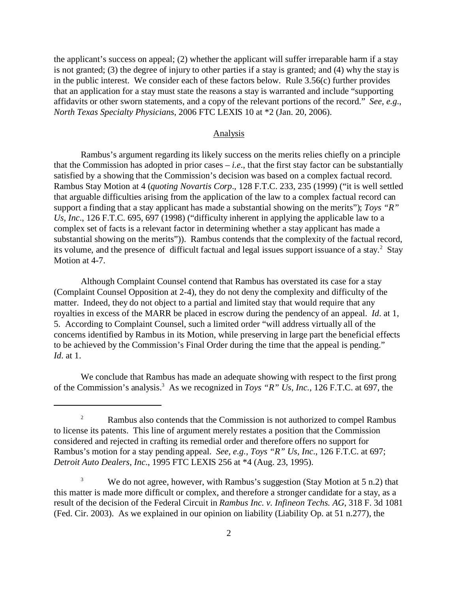the applicant's success on appeal; (2) whether the applicant will suffer irreparable harm if a stay is not granted; (3) the degree of injury to other parties if a stay is granted; and (4) why the stay is in the public interest. We consider each of these factors below. Rule 3.56(c) further provides that an application for a stay must state the reasons a stay is warranted and include "supporting affidavits or other sworn statements, and a copy of the relevant portions of the record." *See, e.g*., *North Texas Specialty Physicians*, 2006 FTC LEXIS 10 at \*2 (Jan. 20, 2006).

#### Analysis

Rambus's argument regarding its likely success on the merits relies chiefly on a principle that the Commission has adopted in prior cases – *i.e*., that the first stay factor can be substantially satisfied by a showing that the Commission's decision was based on a complex factual record. Rambus Stay Motion at 4 (*quoting Novartis Corp*., 128 F.T.C. 233, 235 (1999) ("it is well settled that arguable difficulties arising from the application of the law to a complex factual record can support a finding that a stay applicant has made a substantial showing on the merits"); *Toys "R" Us, Inc*., 126 F.T.C. 695, 697 (1998) ("difficulty inherent in applying the applicable law to a complex set of facts is a relevant factor in determining whether a stay applicant has made a substantial showing on the merits")). Rambus contends that the complexity of the factual record, its volume, and the presence of difficult factual and legal issues support issuance of a stay.<sup>2</sup> Stay Motion at 4-7.

Although Complaint Counsel contend that Rambus has overstated its case for a stay (Complaint Counsel Opposition at 2-4), they do not deny the complexity and difficulty of the matter. Indeed, they do not object to a partial and limited stay that would require that any royalties in excess of the MARR be placed in escrow during the pendency of an appeal. *Id*. at 1, 5. According to Complaint Counsel, such a limited order "will address virtually all of the concerns identified by Rambus in its Motion, while preserving in large part the beneficial effects to be achieved by the Commission's Final Order during the time that the appeal is pending." *Id*. at 1.

We conclude that Rambus has made an adequate showing with respect to the first prong of the Commission's analysis.<sup>3</sup> As we recognized in *Toys "R" Us, Inc.*, 126 F.T.C. at 697, the

<sup>&</sup>lt;sup>2</sup> Rambus also contends that the Commission is not authorized to compel Rambus to license its patents. This line of argument merely restates a position that the Commission considered and rejected in crafting its remedial order and therefore offers no support for Rambus's motion for a stay pending appeal. *See, e.g., Toys "R" Us, Inc*., 126 F.T.C. at 697; *Detroit Auto Dealers, Inc*., 1995 FTC LEXIS 256 at \*4 (Aug. 23, 1995).

<sup>&</sup>lt;sup>3</sup> We do not agree, however, with Rambus's suggestion (Stay Motion at 5 n.2) that this matter is made more difficult or complex, and therefore a stronger candidate for a stay, as a result of the decision of the Federal Circuit in *Rambus Inc. v. Infineon Techs. AG*, 318 F. 3d 1081 (Fed. Cir. 2003). As we explained in our opinion on liability (Liability Op. at 51 n.277), the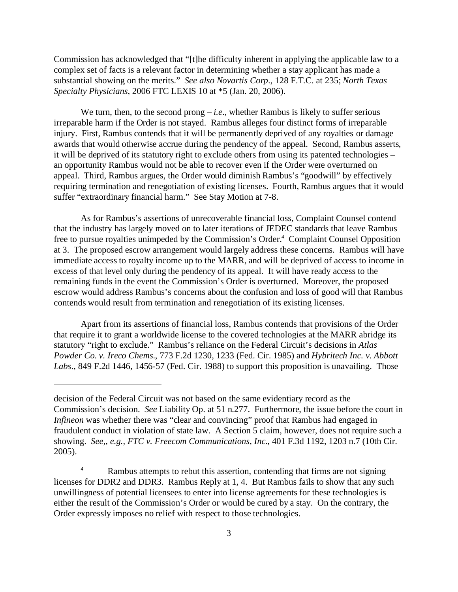Commission has acknowledged that "[t]he difficulty inherent in applying the applicable law to a complex set of facts is a relevant factor in determining whether a stay applicant has made a substantial showing on the merits." *See also Novartis Corp*., 128 F.T.C. at 235; *North Texas Specialty Physicians*, 2006 FTC LEXIS 10 at \*5 (Jan. 20, 2006).

We turn, then, to the second prong  $-i.e.,$  whether Rambus is likely to suffer serious irreparable harm if the Order is not stayed. Rambus alleges four distinct forms of irreparable injury. First, Rambus contends that it will be permanently deprived of any royalties or damage awards that would otherwise accrue during the pendency of the appeal. Second, Rambus asserts, it will be deprived of its statutory right to exclude others from using its patented technologies – an opportunity Rambus would not be able to recover even if the Order were overturned on appeal. Third, Rambus argues, the Order would diminish Rambus's "goodwill" by effectively requiring termination and renegotiation of existing licenses. Fourth, Rambus argues that it would suffer "extraordinary financial harm." See Stay Motion at 7-8.

As for Rambus's assertions of unrecoverable financial loss, Complaint Counsel contend that the industry has largely moved on to later iterations of JEDEC standards that leave Rambus free to pursue royalties unimpeded by the Commission's Order.<sup>4</sup> Complaint Counsel Opposition at 3. The proposed escrow arrangement would largely address these concerns. Rambus will have immediate access to royalty income up to the MARR, and will be deprived of access to income in excess of that level only during the pendency of its appeal. It will have ready access to the remaining funds in the event the Commission's Order is overturned. Moreover, the proposed escrow would address Rambus's concerns about the confusion and loss of good will that Rambus contends would result from termination and renegotiation of its existing licenses.

Apart from its assertions of financial loss, Rambus contends that provisions of the Order that require it to grant a worldwide license to the covered technologies at the MARR abridge its statutory "right to exclude." Rambus's reliance on the Federal Circuit's decisions in *Atlas Powder Co. v. Ireco Chems.*, 773 F.2d 1230, 1233 (Fed. Cir. 1985) and *Hybritech Inc. v. Abbott Labs*., 849 F.2d 1446, 1456-57 (Fed. Cir. 1988) to support this proposition is unavailing. Those

decision of the Federal Circuit was not based on the same evidentiary record as the Commission's decision. *See* Liability Op. at 51 n.277. Furthermore, the issue before the court in *Infineon* was whether there was "clear and convincing" proof that Rambus had engaged in fraudulent conduct in violation of state law. A Section 5 claim, however, does not require such a showing. *See,, e.g., FTC v. Freecom Communications, Inc*., 401 F.3d 1192, 1203 n.7 (10th Cir. 2005).

<sup>&</sup>lt;sup>4</sup> Rambus attempts to rebut this assertion, contending that firms are not signing licenses for DDR2 and DDR3. Rambus Reply at 1, 4. But Rambus fails to show that any such unwillingness of potential licensees to enter into license agreements for these technologies is either the result of the Commission's Order or would be cured by a stay. On the contrary, the Order expressly imposes no relief with respect to those technologies.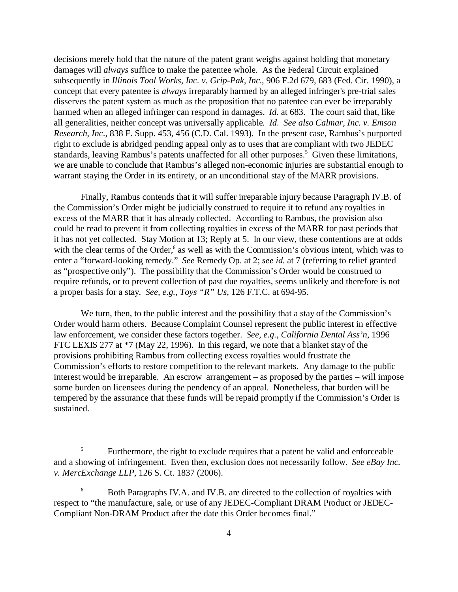decisions merely hold that the nature of the patent grant weighs against holding that monetary damages will *always* suffice to make the patentee whole. As the Federal Circuit explained subsequently in *Illinois Tool Works, Inc. v. Grip-Pak, Inc*., 906 F.2d 679, 683 (Fed. Cir. 1990), a concept that every patentee is *always* irreparably harmed by an alleged infringer's pre-trial sales disserves the patent system as much as the proposition that no patentee can ever be irreparably harmed when an alleged infringer can respond in damages. *Id*. at 683. The court said that, like all generalities, neither concept was universally applicable. *Id*. *See also Calmar, Inc. v. Emson Research*, *Inc*., 838 F. Supp. 453, 456 (C.D. Cal. 1993). In the present case, Rambus's purported right to exclude is abridged pending appeal only as to uses that are compliant with two JEDEC standards, leaving Rambus's patents unaffected for all other purposes.<sup>5</sup> Given these limitations, we are unable to conclude that Rambus's alleged non-economic injuries are substantial enough to warrant staying the Order in its entirety, or an unconditional stay of the MARR provisions.

Finally, Rambus contends that it will suffer irreparable injury because Paragraph IV.B. of the Commission's Order might be judicially construed to require it to refund any royalties in excess of the MARR that it has already collected. According to Rambus, the provision also could be read to prevent it from collecting royalties in excess of the MARR for past periods that it has not yet collected. Stay Motion at 13; Reply at 5. In our view, these contentions are at odds with the clear terms of the Order,<sup>6</sup> as well as with the Commission's obvious intent, which was to enter a "forward-looking remedy." *See* Remedy Op. at 2; *see id*. at 7 (referring to relief granted as "prospective only"). The possibility that the Commission's Order would be construed to require refunds, or to prevent collection of past due royalties, seems unlikely and therefore is not a proper basis for a stay. *See, e.g., Toys "R" Us*, 126 F.T.C. at 694-95.

We turn, then, to the public interest and the possibility that a stay of the Commission's Order would harm others. Because Complaint Counsel represent the public interest in effective law enforcement, we consider these factors together. *See, e.g., California Dental Ass'n*, 1996 FTC LEXIS 277 at \*7 (May 22, 1996). In this regard, we note that a blanket stay of the provisions prohibiting Rambus from collecting excess royalties would frustrate the Commission's efforts to restore competition to the relevant markets. Any damage to the public interest would be irreparable. An escrow arrangement – as proposed by the parties – will impose some burden on licensees during the pendency of an appeal. Nonetheless, that burden will be tempered by the assurance that these funds will be repaid promptly if the Commission's Order is sustained.

<sup>&</sup>lt;sup>5</sup> Furthermore, the right to exclude requires that a patent be valid and enforceable and a showing of infringement. Even then, exclusion does not necessarily follow. *See eBay Inc. v. MercExchange LLP*, 126 S. Ct. 1837 (2006).

<sup>&</sup>lt;sup>6</sup> Both Paragraphs IV.A. and IV.B. are directed to the collection of royalties with respect to "the manufacture, sale, or use of any JEDEC-Compliant DRAM Product or JEDEC-Compliant Non-DRAM Product after the date this Order becomes final."